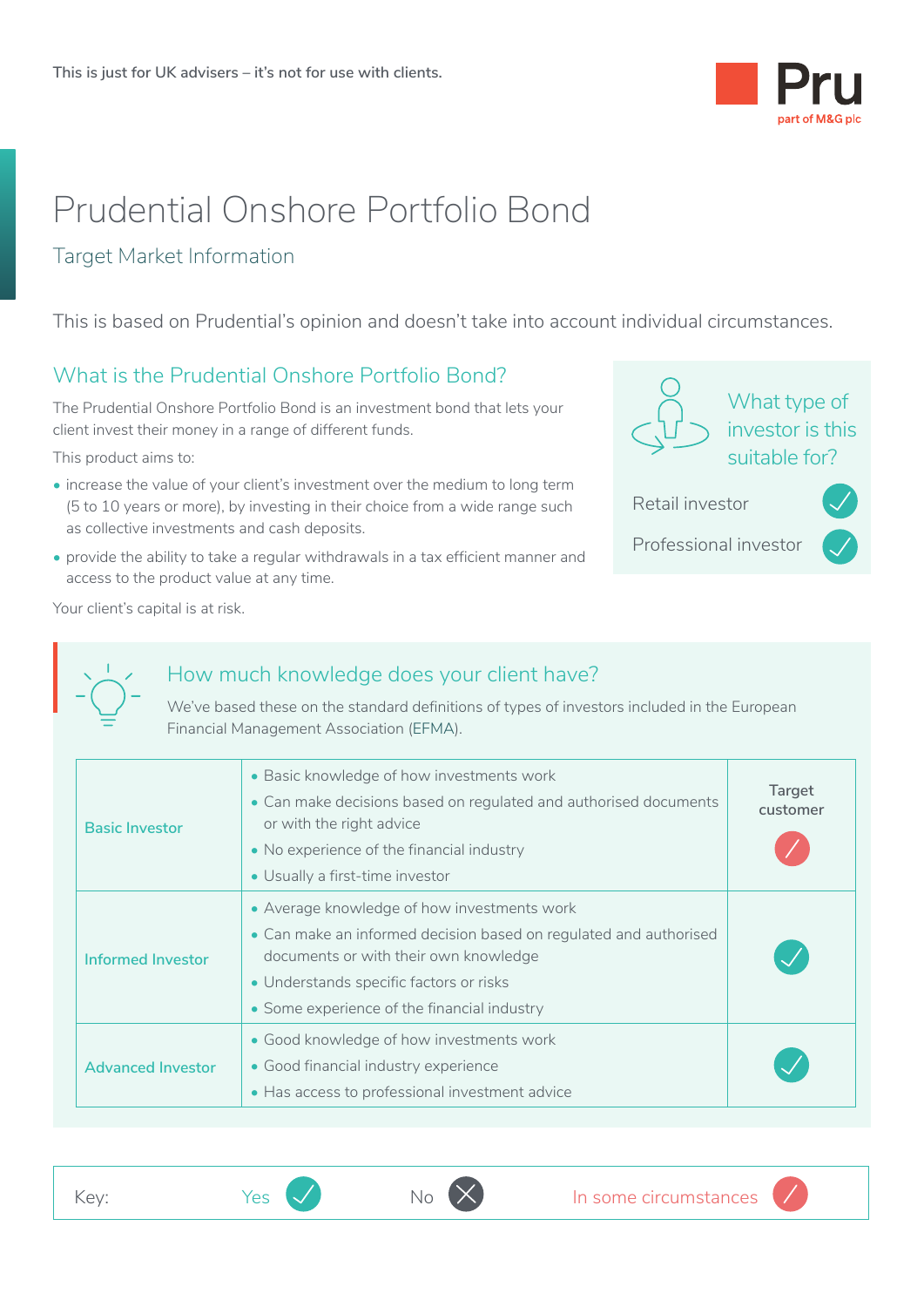

# Prudential Onshore Portfolio Bond

#### Target Market Information

This is based on Prudential's opinion and doesn't take into account individual circumstances.

#### What is the Prudential Onshore Portfolio Bond?

The Prudential Onshore Portfolio Bond is an investment bond that lets your client invest their money in a range of different funds.

This product aims to:

- increase the value of your client's investment over the medium to long term (5 to 10 years or more), by investing in their choice from a wide range such as collective investments and cash deposits.
- provide the ability to take a regular withdrawals in a tax efficient manner and access to the product value at any time.

| What type of<br>investor is this<br>suitable for? |  |  |  |
|---------------------------------------------------|--|--|--|
| Retail investor                                   |  |  |  |
| Professional investor                             |  |  |  |
|                                                   |  |  |  |

Your client's capital is at risk.



#### How much knowledge does your client have?

We've based these on the standard definitions of types of investors included in the European Financial Management Association (EFMA).

| <b>Basic Investor</b>    | • Basic knowledge of how investments work<br>• Can make decisions based on regulated and authorised documents<br>or with the right advice<br>• No experience of the financial industry<br>• Usually a first-time investor                           | Target<br>customer |
|--------------------------|-----------------------------------------------------------------------------------------------------------------------------------------------------------------------------------------------------------------------------------------------------|--------------------|
| Informed Investor        | • Average knowledge of how investments work<br>• Can make an informed decision based on regulated and authorised<br>documents or with their own knowledge<br>• Understands specific factors or risks<br>• Some experience of the financial industry |                    |
| <b>Advanced Investor</b> | • Good knowledge of how investments work<br>• Good financial industry experience<br>• Has access to professional investment advice                                                                                                                  |                    |



<u>• Indian Propinsi Serikat Ba</u>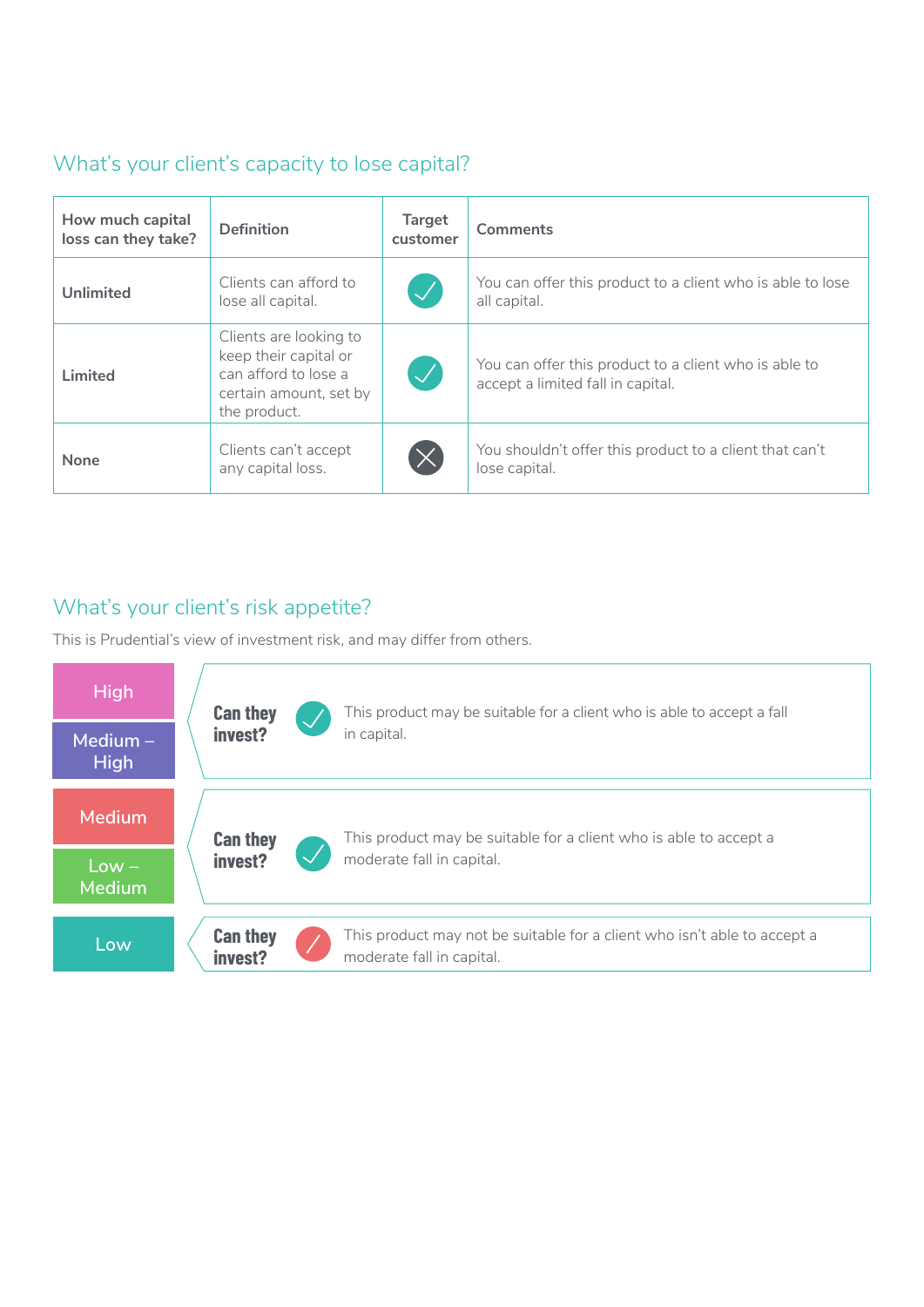### What's your client's capacity to lose capital?

| How much capital<br>loss can they take? | <b>Definition</b>                                                                                                 | <b>Target</b><br>customer | <b>Comments</b>                                                                            |
|-----------------------------------------|-------------------------------------------------------------------------------------------------------------------|---------------------------|--------------------------------------------------------------------------------------------|
| <b>Unlimited</b>                        | Clients can afford to<br>lose all capital.                                                                        | $\overline{\mathscr{S}}$  | You can offer this product to a client who is able to lose<br>all capital.                 |
| Limited                                 | Clients are looking to<br>keep their capital or<br>can afford to lose a<br>certain amount, set by<br>the product. | $\blacktriangledown$      | You can offer this product to a client who is able to<br>accept a limited fall in capital. |
| <b>None</b>                             | Clients can't accept<br>any capital loss.                                                                         | $\times$                  | You shouldn't offer this product to a client that can't<br>lose capital.                   |
|                                         |                                                                                                                   |                           |                                                                                            |

# What's your client's risk appetite?

This is Prudential's view of investment risk, and may differ from others.

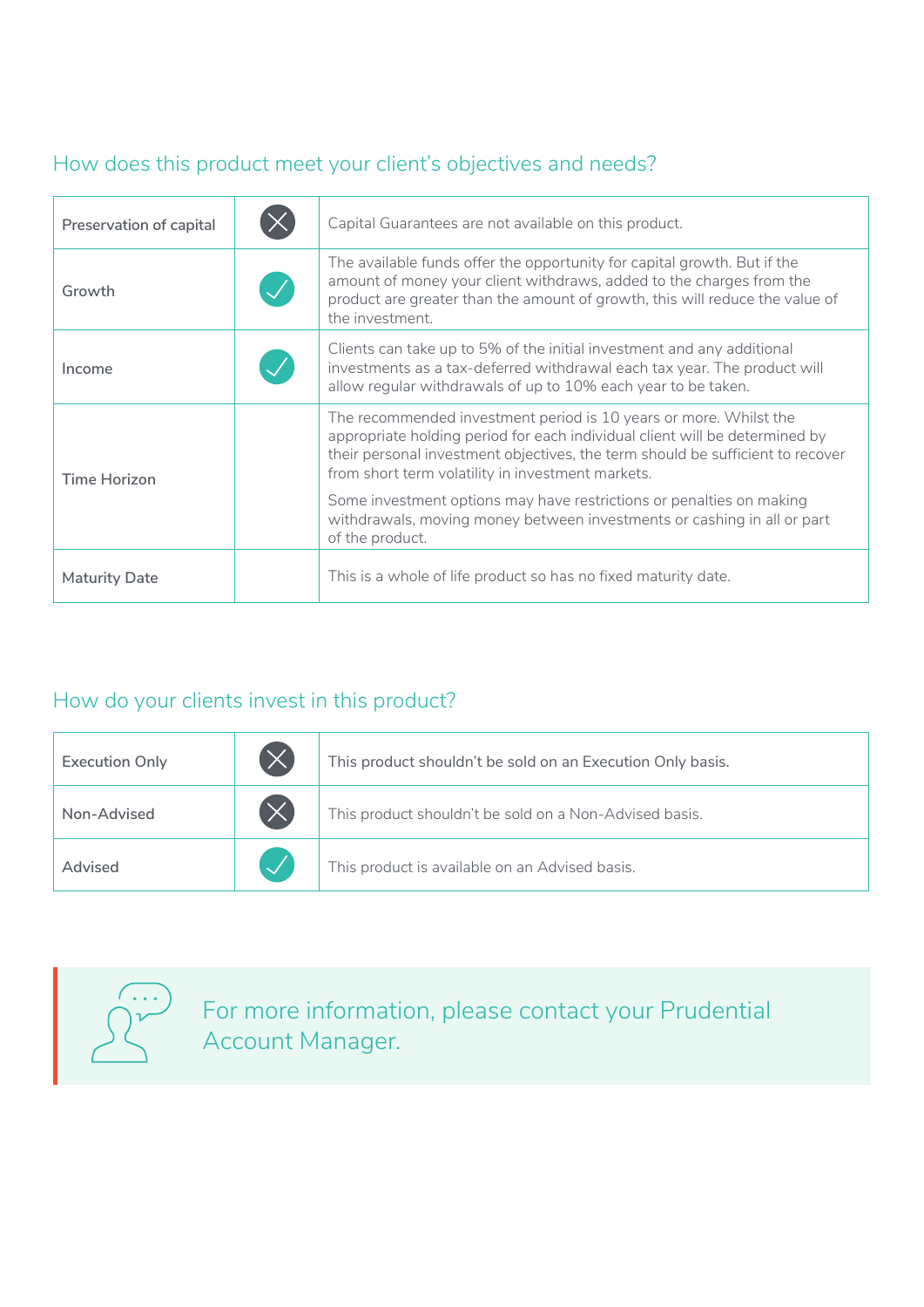# How does this product meet your client's objectives and needs?

| Preservation of capital | Capital Guarantees are not available on this product.                                                                                                                                                                                                                                   |
|-------------------------|-----------------------------------------------------------------------------------------------------------------------------------------------------------------------------------------------------------------------------------------------------------------------------------------|
| Growth                  | The available funds offer the opportunity for capital growth. But if the<br>amount of money your client withdraws, added to the charges from the<br>product are greater than the amount of growth, this will reduce the value of<br>the investment.                                     |
| Income                  | Clients can take up to 5% of the initial investment and any additional<br>investments as a tax-deferred withdrawal each tax year. The product will<br>allow regular withdrawals of up to 10% each year to be taken.                                                                     |
| Time Horizon            | The recommended investment period is 10 years or more. Whilst the<br>appropriate holding period for each individual client will be determined by<br>their personal investment objectives, the term should be sufficient to recover<br>from short term volatility in investment markets. |
|                         | Some investment options may have restrictions or penalties on making<br>withdrawals, moving money between investments or cashing in all or part<br>of the product.                                                                                                                      |
| <b>Maturity Date</b>    | This is a whole of life product so has no fixed maturity date.                                                                                                                                                                                                                          |

# How do your clients invest in this product?

| <b>Execution Only</b> | $(\times$ | This product shouldn't be sold on an Execution Only basis. |  |
|-----------------------|-----------|------------------------------------------------------------|--|
| Non-Advised           |           | This product shouldn't be sold on a Non-Advised basis.     |  |
| Advised               |           | This product is available on an Advised basis.             |  |
|                       |           |                                                            |  |



For more information, please contact your Prudential Account Manager.